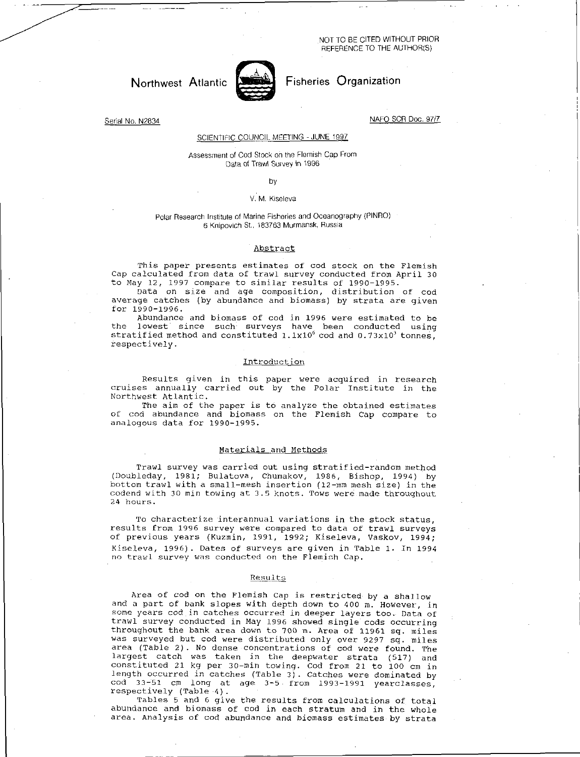NOT TO BE CITED WITHOUT PRIOR REFERENCE TO THE AUTHOR(S)



Northwest Atlantic **Northwest Atlantic** Fisheries Organization

Serial No. N2834 NAFO SCR Doc. 97/7

# SCIENTIFIC COUNCIL MEETING - JUNE 1997

### Assessment of Cod Stock on the Flemish Cap From Data of Trawl Survey in 1996

### by

#### V. M. Kiseleva

# Polar Research Institute of Marine Fisheries and Oceanography (PINRO) 6 Knipovich St., 183763 Murmansk, Russia

# Abstract

This paper presents estimates of cod stock on the Flemish Cap calculated from data of trawl survey conducted from April 30 to May 12, 1997 compare to similar results of 1990-1995.

Data on size and age composition, distribution of cod average catches (by abundance and biomass) by strata are given for  $1990 - 1996$ .

Abundance and biomass of cod in 1996 were estimated to be the lowest since such surveys have been conducted using stratified method and constituted  $1.1x10^6$  cod and  $0.73x10^3$  tonnes, respectively.

### Introduction

Results given in this paper were acquired in research cruises annually carried out by the Polar Institute in the Northwest Atlantic.

The aim of the paper is to analyze the obtained estimates of cod abundance and biomass on the Flemish Cap compare to analogous data for 1990-1995.

# Materials and Methods

Trawl survey was carried out using stratified-random method (Doubleday, 1981; Bulatova, Chumakov, 1986, Bishop, 1994) by bottom trawl with a small-mesh insertion (12-mm mesh size) in the codend with 30 min towing at 3.5 knots. Tows were made throughout 24 hours.

To characterize interannual variations in the stock status, results from 1996 survey were compared to data of trawl surveys of previous years (Kuzmin, 1991, 1992; Kiseleva, Vaskov, 1994; Kiseleva, 1996). Dates of surveys are given in Table 1. In 1994 no trawl survey was conducted on the Flemish Cap.

#### Results

Area of cod on the Flemish Cap is restricted by a shallow and a part of bank slopes with depth down to 400 m. However, in some years cod in catches occurred in deeper layers too. Data of trawl survey conducted in May 1996 showed single cods occurring throughout the bank area down to 700 m. Area of 11961 sq. miles was surveyed but cod were distributed only over 9297 sq. miles area (Table 2). No dense concentrations of cod were found. The largest catch was taken in the deepwater strata (517) and constituted 21 kg per 30 -min towing. Cod from 21 to 100 cm in length occurred in catches (Table 3). Catches were dominated by cod 33-51 cm long at age 3-5 from 1993-1991 yearclasses, respectively (Table 4).

Tables 5 and 6 give the results from calculations of total abundance and biomass of cod in each stratum and in the whole area. Analysis of cod abundance and biomass estimates by strata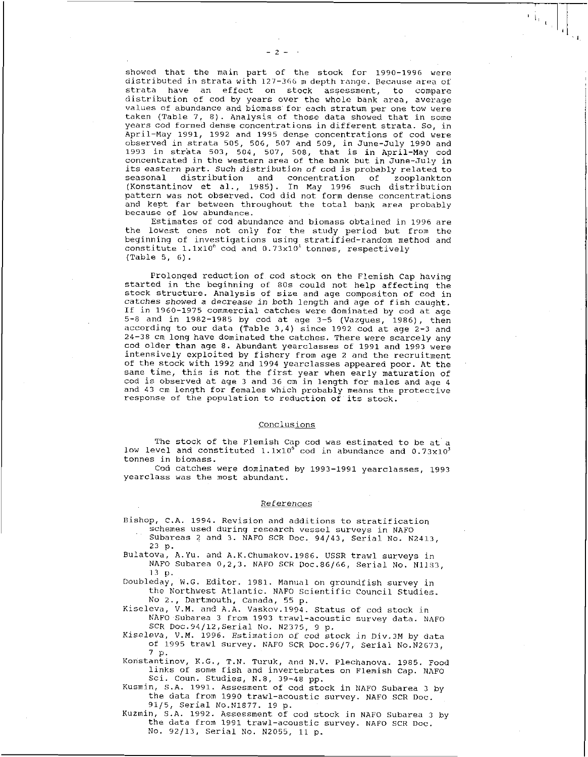showed that the main part of the stock for 1990-1996 were distributed in strata with 127-366 m depth range. Because area of strata have an effect on stock assessment, to compare distribution of cod by years over the whole bank area, average values of abundance and biomass for each stratum per one tow were taken (Table 7, 8). Analysis of those data showed that in some years cod formed dense concentrations in different strata. So, in April-May 1991, 1992 and 1995 dense concentrations of cod were observed in strata 505, 506, 507 and 509, in June-July 1990 and 1993 in strata 503, 504, 507, 508, that is in April-May cod concentrated in the western area of the bank but in June-July in its eastern part. *Such* distribution of cod is probably related to seasonal distribution and concentration of zooplankton (Konstantinov et al., 1985). In May 1996 such distribution pattern was not observed. Cod did not form dense concentrations and kept far between throughout the total bank area probably because of low abundance.

Estimates of cod abundance and biomass obtained in 1996 are the lowest ones not only for the study period but from the beginning of investigations using stratified-random method and constitute  $1.1x10^6$  cod and  $0.73x10^3$  tonnes, respectively (Table 5, 6).

Prolonged reduction of cod stock on the Flemish Cap having started in the beginning of 80s could not help affecting the stock structure. Analysis of size and age compositon of cod in catches *showed* a decrease in both length and age of fish caught. If in 1960-1975 commercial catches were dominated by cod at age 5-8 and in 1982-1985 by cod at age 3-5 (Vazgues, 1986), then according to our data (Table 3,4) since 1992 cod at age 2-3 and 24-38 cm long have dominated the catches. There were scarcely any cod older than age 8. Abundant yearclasses of 1991 and 1993 were intensively exploited by fishery from age 2 and the recruitment of the stock with 1992 and 1994 yearclasses appeared poor. At the same time, this is not the first year when early maturation of cod is observed at age 3 and 36 cm in length for males and age 4 and 43 cm length for females which probably means the protective response of the population to reduction of its stock.

# Conclusions

The stock of the Flemish Cap cod was estimated to be at a low level and constituted  $1.1 \times 10^{6}$  cod in abundance and  $0.73 \times 10^{3}$  tonnes in biomass.

Cod catches were dominated by 1993-1991 yearclasses, 1993 yearclass was the most abundant.

### References

Bishop, C.A. 1994. Revision and additions to stratification schemes used during research vessel surveys in NAFO Subareas 2 and 3. NAFO SCR Doc. 94/43, Serial No. N2413,

23 p.

Bulatova, A.Yu. and A.K.Chumakov.1986. USSR trawl surveys in NAFO Subarea 0,2,3. NAFO SCR Doc.86/66, Serial No. N1183, 13 p.

Doubleday, W.G. Editor. 1981. Manual on groundfish survey in the Northwest Atlantic. NAFO Scientific Council Studies. No 2., Dartmouth, Canada, 55 p.

Kiseleva, V.M. and A.A. Vaskov.1994. Status of cod stock in NAFO Subarea 3 from 1993 trawl-acoustic survey data. NAFO SCR Doc.94/12,Serial No. N2375, 9 p.

Kiseleva, V.M. 1996. Estimation of cod stock in Div.3M by data of 1995 trawl survey. NAFO SCR Doc.96/7, Serial No.N2673, 7 p.

Konstantinov, K.G., T.N. Turuk, and N.V. Plechanova. 1985. Food links of some fish and invertebrates on Flemish Cap. NAFO Sci. Coun. Studies, N.8, 39-48 pp.

Kusmin, S.A. 1991. Assesment of cod stock in NAFO Subarea 3 by the data from 1990 trawl-acoustic survey. NAFO SCR Doc. 91/5, Serial No.N1877. 19 p.

Kuzmin, S.A. 1992. Assessment of cod stock in NAFO Subarea 3 by the data from 1991 trawl-acoustic survey. NAFO SCR Doc. No. 92/13, Serial No. N2055, 11 p.

 $\mathbf{E}^{\dagger}_{\mathbf{E}}$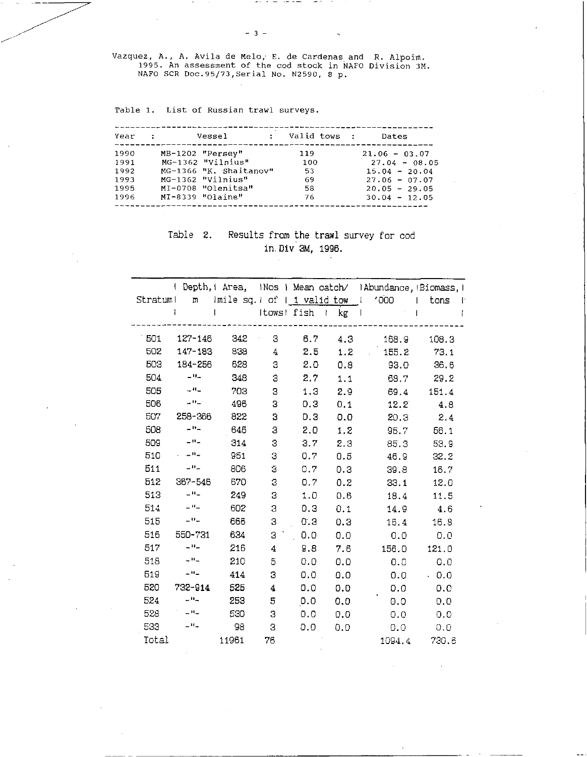Vazquez, A., A. Avila de Melo, E. de Cardenas and R. Alpoim. 1995. An assessment of the cod stock in NAFO Division 3M. NAFO SCR Doc.95/73,Serial No. N2590, 8 p.

 $-3 -$ 

Table 1. List of Russian trawl surveys.

| Year         | $\sim 100$ km s $^{-1}$ | Vessel                                  | $\mathbf{z}$ | Valid tows : | Dates                              |
|--------------|-------------------------|-----------------------------------------|--------------|--------------|------------------------------------|
| 1990<br>1991 |                         | MB-1202 "Persey"<br>MG-1362 "Vilnius"   |              | 119<br>100   | $21.06 - 03.07$<br>$27.04 - 08.05$ |
| 1992         |                         | MG-1366 "K. Shaitanov"                  |              | 53           | $15.04 - 20.04$                    |
| 1993<br>1995 |                         | MG-1362 "Vilnius"<br>MI-0708 "Olenitsa" |              | 69<br>58     | $27.06 - 07.07$<br>$20.05 - 29.05$ |
| 1996         |                         | MI-8339 "Olaine"                        |              | 76           | $30.04 - 12.05$                    |

# Table 2. Results from the trawl survey for cod in. Div 3M, 1996.

|          | Depth,   Area, INos   Mean catch/ IAbundance, Biomass, I |                                                         |                         |                  |                     |                |            |  |  |  |  |
|----------|----------------------------------------------------------|---------------------------------------------------------|-------------------------|------------------|---------------------|----------------|------------|--|--|--|--|
| Stratuml | m                                                        | $\text{Imile sq.} \mid \text{of} + 1 \text{ valid tow}$ |                         |                  |                     | '000<br>1      | tons<br>T. |  |  |  |  |
|          | ł                                                        | $\mathsf{I}$                                            | Itows! fish             |                  | kg<br>$\mathcal{L}$ |                |            |  |  |  |  |
|          |                                                          |                                                         |                         |                  |                     |                |            |  |  |  |  |
| 501      | 127-146                                                  | 342                                                     | З                       | 6.7              | 4.3                 | 168.9          | 108.3      |  |  |  |  |
| 502      | 147-183                                                  | 838                                                     | 4                       | 2.5              | 1.2                 | 155.2          | 73.1       |  |  |  |  |
| 503      | 184-256                                                  | 628                                                     | 3                       | 2.0              | 0.8                 | 93.O           | 36.6       |  |  |  |  |
| 504      | $\equiv$ H $\equiv$                                      | 348                                                     | 3                       | 2.7 <sub>1</sub> | 1.1                 | 63.7           | 29.2       |  |  |  |  |
| 505      | $\omega$ $0$ $\omega$                                    | 703                                                     | З                       | 1.3              | 2.9                 | 69.4           | 151.4      |  |  |  |  |
| 506      | $=$ $H_{\infty}$                                         | 496                                                     | 3                       | 0.3              | 0.1                 | $12.2^{\circ}$ | 4.8        |  |  |  |  |
| 507      | 258-366                                                  | 822                                                     | З                       | 0.3              | 0.0                 | 20.3           | 2.4        |  |  |  |  |
| 508      | - "-                                                     | 646                                                     | 3                       | 2.0              | 1.2                 | $95.7 -$       | 56.1       |  |  |  |  |
| 509      | $-11$                                                    | 314                                                     | 3                       | 3.7              | 2.3                 | 85.3           | 53.9       |  |  |  |  |
| 510      | $-11-$                                                   | 951                                                     | 3                       | 0.7              | 0.5                 | 46.9           | 32.2       |  |  |  |  |
| 511      | $-$ H $-$                                                | 806                                                     | 3                       | 0.7              | 0.3                 | 39.8           | 16.7       |  |  |  |  |
| 512      | 367-546                                                  | 670                                                     | 3                       | 0.7              | 0.2                 | 33.1           | 12.0       |  |  |  |  |
| 513      | $-9-$                                                    | 249                                                     | 3                       | 1.0              | 0.6                 | 13.4           | 11.5       |  |  |  |  |
| 514      | $\perp$ $\Theta$ $\perp$                                 | 602                                                     | 3                       | 0.3              | 0.1                 | 14.9           | 4.6        |  |  |  |  |
| 515      | $-11$                                                    | 666                                                     | 3                       | 0.3              | 0.3                 | 16.4           | 16.9       |  |  |  |  |
| 516      | 550-731                                                  | 634                                                     | 3                       | 0.0              | 0.0                 | 0.0            | 0.0        |  |  |  |  |
| 517      | $-$ H $-$                                                | 216                                                     | $\overline{\mathbf{4}}$ | 9.8              | 7.6                 | 156.0          | 121.0      |  |  |  |  |
| 518      | $-$ H $-$                                                | 210                                                     | 5                       | 0.0              | 0.0                 | 0.0            | 0.0        |  |  |  |  |
| 519      | $-11-$                                                   | 414                                                     | З                       | 0.0              | 0.0                 | 0.0            | .0.0       |  |  |  |  |
| 520      | 732-914                                                  | 525                                                     | 4                       | 0.0              | 0.0                 | 0.0            | 0.0        |  |  |  |  |
| 524      | $-11$                                                    | 253                                                     | 5                       | 0.0              | 0.0                 | 0.0            | 0.0        |  |  |  |  |
| 528      | $\perp$ H $\perp$                                        | 530                                                     | 3                       | 0.0              | 0.0                 | 0.0            | 0.0        |  |  |  |  |
| 533      | $-$ H $-$                                                | 98                                                      | З                       | 0.0              | 0.0                 | 0.0            | 0.0        |  |  |  |  |
| Total    |                                                          | 11961                                                   | 76                      |                  |                     | 1094.4         | 730.6      |  |  |  |  |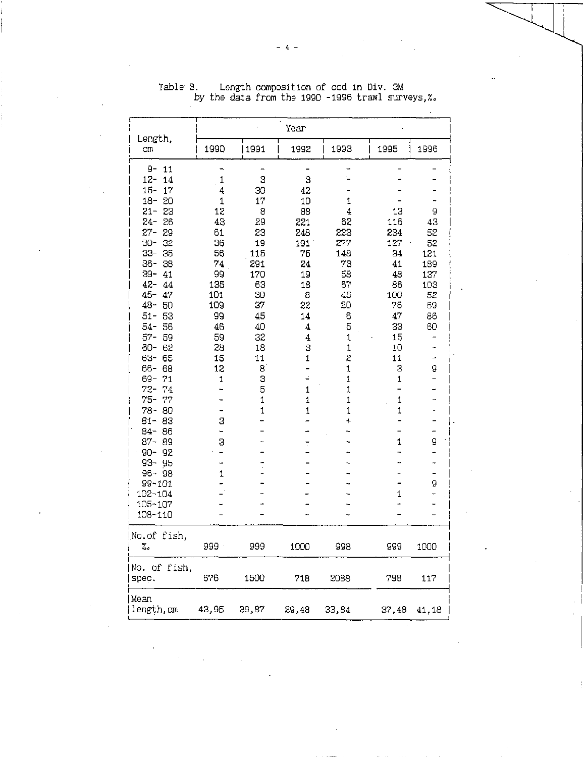| Length,                                                                                                                                                                                                                                                                                                                                                                                                                                                                                           |                                                                                                                                                                 |                                                                                                                                    | Year                                                                                                                                                      |                                                                                                                                          |                                                                                                                                   |                                                                                        |
|---------------------------------------------------------------------------------------------------------------------------------------------------------------------------------------------------------------------------------------------------------------------------------------------------------------------------------------------------------------------------------------------------------------------------------------------------------------------------------------------------|-----------------------------------------------------------------------------------------------------------------------------------------------------------------|------------------------------------------------------------------------------------------------------------------------------------|-----------------------------------------------------------------------------------------------------------------------------------------------------------|------------------------------------------------------------------------------------------------------------------------------------------|-----------------------------------------------------------------------------------------------------------------------------------|----------------------------------------------------------------------------------------|
| Сm                                                                                                                                                                                                                                                                                                                                                                                                                                                                                                | 1990                                                                                                                                                            | 1991                                                                                                                               | 1992                                                                                                                                                      | 1993                                                                                                                                     | 1995                                                                                                                              | 1996                                                                                   |
| 9-<br>11<br>$12 -$<br>14<br>$15 -$<br>17<br>$18 -$<br>20<br>$21 -$<br>23<br>$24-$<br>26<br>$27 -$<br>29<br>-30<br>32<br>$33-$<br>35<br>$36 -$<br>38<br>39-<br>41<br>$42 -$<br>44<br>$45 -$<br>47<br>$48 -$<br>50<br>$51-$<br>53<br>$54 -$<br>56<br>$57 -$<br>59<br>$60 -$<br>62<br>$63 -$<br>65<br>$66 -$<br>68<br>69-<br>71<br>$72-$<br>74<br>$75 -$<br>77<br>$78-$<br>80<br>$81 -$<br>83<br>86<br>$84 -$<br>87-89<br>$90 - 92$<br>$93 - 95$<br>96-98<br>99-101<br>102-104<br>105-107<br>108-110 | $\mathbf{1}$<br>4<br>$\overline{1}$<br>12<br>43<br>61<br>36<br>56<br>74<br>99<br>135<br>101<br>109<br>99<br>46<br>59<br>28<br>15<br>12<br>1<br>3<br>-<br>З<br>1 | 3<br>30<br>17<br>8<br>29<br>23<br>19<br>115<br>291<br>170<br>63<br>30<br>37<br>45<br>40<br>32<br>18<br>11<br>8<br>З<br>5<br>1<br>1 | 3<br>42<br>10<br>38<br>221<br>248<br>191<br>75<br>24<br>19<br>18<br>8<br>22<br>14<br>$\overline{\mathbf{4}}$<br>4<br>3<br>1<br>-<br>≐<br>1<br>1<br>1<br>Ţ | 1<br>4<br>62<br>223<br>277<br>148<br>73<br>58<br>67<br>45<br>20<br>6<br>5<br>1<br>1<br>2<br>$\mathbf 1$<br>1<br>1<br>1<br>1<br>$\pmb{+}$ | 13<br>116<br>234<br>127<br>34<br>41<br>48<br>86<br>100<br>76<br>47<br>33<br>15<br>10<br>11<br>3<br>1<br>1<br>$\ddagger$<br>1<br>1 | 9<br>43<br>52<br>52<br>121<br>189<br>137<br>103<br>52<br>69<br>86<br>60<br>9<br>9<br>9 |
| No.of fish,<br>۵.                                                                                                                                                                                                                                                                                                                                                                                                                                                                                 | 999                                                                                                                                                             | 999                                                                                                                                | 1000                                                                                                                                                      | 998                                                                                                                                      | 999                                                                                                                               | 1000                                                                                   |
| No. of fish,<br>spec.                                                                                                                                                                                                                                                                                                                                                                                                                                                                             | 676                                                                                                                                                             | 1500                                                                                                                               | 718                                                                                                                                                       | 2088                                                                                                                                     | 788                                                                                                                               | 117                                                                                    |
| Mean<br>length, cm                                                                                                                                                                                                                                                                                                                                                                                                                                                                                | 43,95                                                                                                                                                           | 39,87                                                                                                                              | 29,48                                                                                                                                                     | 33,84                                                                                                                                    | 37,48                                                                                                                             | 41,18                                                                                  |

Table' 3. Length composition of cod in Div. 3M by the data from the 1990 -1996 trawl surveys,%.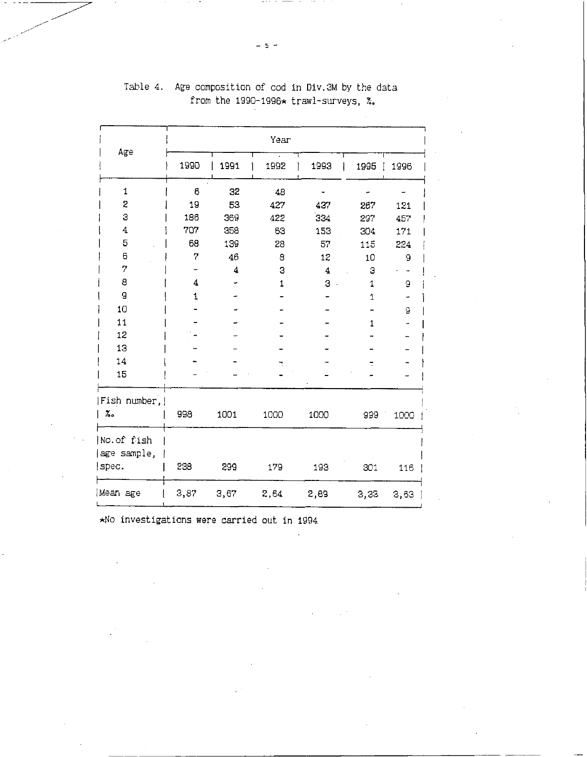|                           |      |      | Year |      |            |      |
|---------------------------|------|------|------|------|------------|------|
| Age                       |      |      |      |      |            |      |
|                           | 1990 | 1991 | 1992 | 1993 | 1995       | 1996 |
| $\mathbf{1}$              | 6    | 32   | 48   |      |            |      |
| 2                         | 19   | 53   | 427  | 437  | 267        | 121  |
| 3                         | 186  | 369  | 422  | 334  | 297        | 457  |
| 4                         | 707  | 358  | 63   | 153  | 304        | 171  |
| 5                         | 68   | 139  | 28   | 57   | 115        | 224  |
| 6                         | 7    | 46   | 8    | 12   | 10         | 9    |
| 7                         |      | 4    | 3    | 4    | 3          |      |
| 8                         | 4    |      | 1    | 3    | $\ddagger$ | ā    |
| 9                         | 1    |      |      |      | 1          |      |
| 10                        |      |      |      |      |            | 9    |
| 11                        |      |      |      |      | 1          |      |
| 12                        |      |      |      |      |            |      |
| 13                        |      |      |      |      |            |      |
| 14                        |      |      |      |      |            |      |
| 15                        |      |      |      |      |            |      |
| Fish number,              |      |      |      |      |            |      |
| ۶.                        | 998  | 1001 | 1000 | 1000 | 999        | 1000 |
| No.of fish<br>age sample, |      |      |      |      |            |      |
| spec.                     | 238  | 299  | 179  | 193  | 301        | 116  |
| Mean age                  | 3,87 | 3,67 | 2,64 | 2,89 | 3,33       | 3,63 |

 $\overline{a}$ 

# Table 4. Age composition of cod in Div.3M by the data from the 1990-1996\* trawl-surveys, %.

\*No investigations were carried out in 1994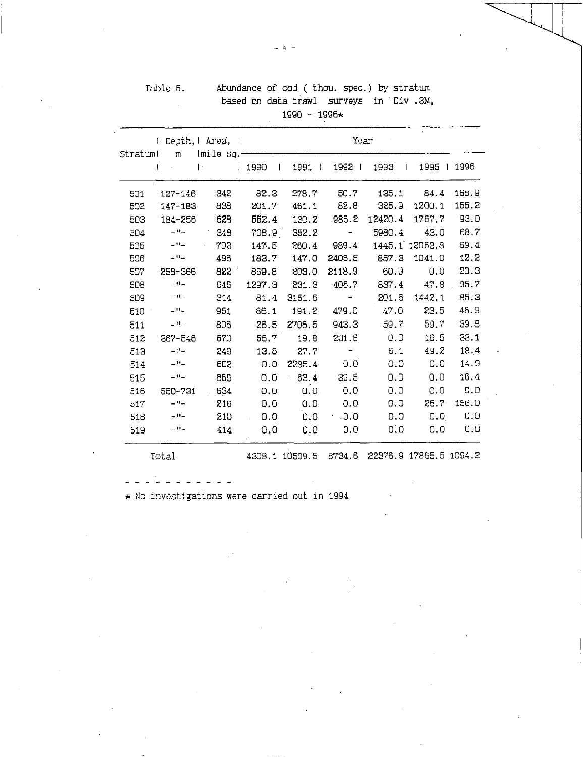|          |                          |                                    |                    | 1990 - 1996*                                 |                         |         |                             |       |
|----------|--------------------------|------------------------------------|--------------------|----------------------------------------------|-------------------------|---------|-----------------------------|-------|
| Stratuml |                          | I Depth, Mrea, I<br>m – Imile sq.- |                    |                                              | Year                    |         |                             |       |
|          | J                        | $\vert \cdot \vert$                | J 1990<br>$\perp$  | 1991                                         | 1992                    | 1993    | 1995   1996<br>$\mathbf{I}$ |       |
| 501      | $127 - 146$              | 342                                | 82.3               | 278.7                                        | 50.7                    | 135.1   | 84.4                        | 168.9 |
| 502      | 147-183                  | 838                                | 201.7              | 461.1                                        | 82.8                    | 325.9   | 1200.1                      | 155.2 |
| 503      | 184-256                  | 628                                | 552.4              | 130.2                                        | 986.2                   | 12420.4 | 1767.7                      | 93.0  |
| 504      | $\sim 10$ $\mu$          | 348                                | 708.9 <sup>1</sup> | 352.2                                        | $\alpha$ and $\alpha$   | 5980.4  | 43.0                        | 68.7  |
| 505      | $\sim -11$               | 703                                | 147.5              | 260.4                                        | 989.4                   |         | 1445.1 12063.8              | 69.4  |
| 506      | $\pm 0.1$                | 496                                | 183.7              | 147.0                                        | 2406.5                  | 857.3   | 1041.0                      | 12.2  |
| 507      | 258-366                  | 822                                | 869.8              | 203.0                                        | 2118.9                  | 60.9    | 0.0                         | 20.3  |
| 508      | $\equiv 10\pm$           | 646                                | 1297.3             | 231.3                                        | 406.7                   | 837.4   | 47.8                        | 95.7  |
| 509      | $ \theta$ $-$            | 314                                | 81.4               | 3151.6                                       | $\sim 100$ km s $^{-1}$ | 201.6   | 1442.1                      | 85.3  |
| 510      | $\pm$ 0 $\pm$            | 951                                | 86.1               | 191.2                                        | 479.0                   | 47.0    | 23.5                        | 46.9  |
| 511      | $-$ H $-$                | 806                                | 26.5               | 2706.5                                       | 943.3                   | 59.7    | 59.7                        | 39.8  |
| 512      | $367 - 546$              | 670                                | 56.7               | 19.8                                         | 231.6                   | 0.0     | 16.5                        | 33.1  |
| 513      | $-24-$                   | 249                                | 13.8               | 27.7                                         |                         | 6.1     | 49.2                        | 18.4  |
| 514      | $ \mathbf{H}$            | 602                                | 0.0                | 2285.4                                       | 0.0                     | 0.0     | 0.0                         | 14.9  |
| 515      | $\perp$ $\Omega$ $\perp$ | 666                                | 0.0                | 63.4                                         | 39.5                    | 0.0     | 0.0                         | 16.4  |
| 516      | 550-731                  | 634                                | 0.0                | 0.0.                                         | 0.0                     | 0.0     | 0.0                         | 0.0   |
| 517      | $\pm 0\pm$               | 216                                | 0.0                | 0.0                                          | 0.0                     | 0.0     | 26.7                        | 156.0 |
| 518      | $-11$                    | 210                                | 0.0                | 0.0                                          | .0.0                    | 0.0     | 0.0                         | 0.0   |
| 519      | $\pm 0.1$                | 414                                | 0.0                | 0.0                                          | 0.0                     | 0.0     | 0.0                         | 0.0   |
|          | Total                    |                                    |                    | 4308.1 10509.5 8734.6 22376.9 17865.5 1094.2 |                         |         |                             |       |

| Table 5. |                     |  | Abundance of cod (thou. spec.) by stratum |  |  |  |  |  |  |  |  |
|----------|---------------------|--|-------------------------------------------|--|--|--|--|--|--|--|--|
|          |                     |  | based on data trawl surveys in Div .3M,   |  |  |  |  |  |  |  |  |
|          | $1990 - 1996 \star$ |  |                                           |  |  |  |  |  |  |  |  |

 $\star$  No investigations were carried out in 1994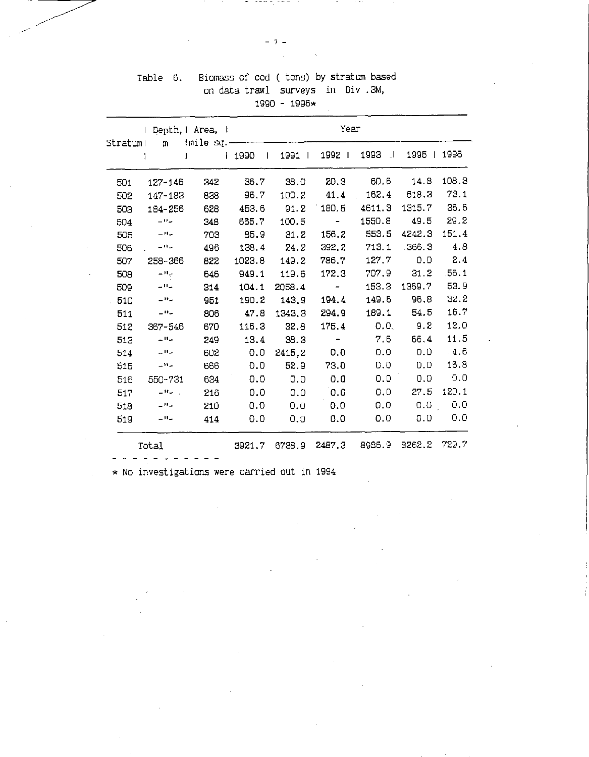| Table 6. | Biomass of cod ( tons) by stratum based |
|----------|-----------------------------------------|
|          | on data trawl surveys in Div.3M,        |
|          | $1990 - 1996 \star$                     |

|     | I Depth,   Area,                     |     |                  |        | Year                                                                              |        |             |        |
|-----|--------------------------------------|-----|------------------|--------|-----------------------------------------------------------------------------------|--------|-------------|--------|
|     | Stratum! m {mile sq.---<br>T<br>J.   |     | i 1990<br>$\Box$ | 1991   | 1992                                                                              | 1993   | 1995   1996 |        |
| 501 | 127-146                              | 342 | 36.7             | 38.0   | 20.3                                                                              | 60.6   | 14.8        | 108.3  |
| 502 | 147-183                              | 838 | 96.7             | 100.2  | 41.4                                                                              |        | 162.4 618.3 | 73.1   |
| 503 | 184-256                              | 628 | 453.6            | 91.2   | 180.5                                                                             | 4611.3 | 1315.7      | 36.6   |
| 504 | $\sim 10\, \mu$                      | 348 | 665.7            | 100.5  | $\mathcal{L}^{\mathcal{L}}(\mathcal{L}^{\mathcal{L}}(\mathcal{L}^{\mathcal{L}}))$ | 1550.8 | 49.5        | 29.2   |
| 505 | $\sim 10\,\mu$                       | 703 | 85.9             | 31.2   | 156.2                                                                             | 553.5  | 4242.3      | 151.4  |
| 506 | مرافين المراد                        | 496 | 138.4            | 24.2   | 392.2                                                                             | 713.1  | . 366.3     | 4.8    |
| 507 | 258-366                              | 822 | 1023.8           | 149.2  | 786.7                                                                             | 127.7  | 0.0         | 2.4    |
| 508 | $\equiv W_{\gamma\gamma}$            | 646 | 949.1            | 119.6  | 172.3                                                                             | 707.9  | 31.2        | .56.1  |
| 509 | مرافعات                              | 314 | 104.1            | 2058.4 | $\mathcal{L}(\mathcal{L})$ and $\mathcal{L}(\mathcal{L})$                         | 153.3  | 1369.7      | 53.9   |
| 510 | $\sim$ $\sim$                        | 951 | 190.2            | 143.9  | 194.4                                                                             | 149.6  | 96.8        | 32.2   |
| 511 | $\sim 100$ $\mu$                     | 806 | 47.8             | 1343.3 | 294.9                                                                             | 189.1  | 54.5        | 16.7   |
| 512 | 367-546                              | 670 | 116.3            | 32.8   | 175.4                                                                             | 0.0    | 9.2         | 12.0   |
| 513 | مرالاتها ال                          | 249 | 13.4             | 38.3   |                                                                                   | 7.6    | 66.4        | 11.5   |
| 514 | ماليات                               | 602 | 0.0              | 2415,2 | 0.0                                                                               | 0.0    | 0.0         | $-4.6$ |
| 515 | $\sim 10\, \mu$                      | 666 | 0.0              | 52.9   | 73.0                                                                              | 0.0    | 0.0         | 16.9   |
| 516 | 550-731                              | 634 | 0.0              | 0.0    | 0.0                                                                               | 0.0    | 0.0         | 0.0    |
| 517 | $\mathbf{u} = \mathbf{H} \mathbf{u}$ | 216 | 0.0              | 0.0    | 0.0                                                                               | 0.0    | 27.5        | 120.1  |
| 518 | $\sim 10\, \mu$                      | 210 | 0.0              | 0,0    | 0.0                                                                               | 0.0    | 0.0         | 0.0    |
| 519 | $-11$                                | 414 | 0.0              | 0.0    | 0.0                                                                               | 0.0    | 0.0         | 0.0    |
|     | Total                                |     | 3921.7           | 6739.9 | 2487.3                                                                            | 8986.9 | 8262.2      | 729.7  |

\* No investigations were carried out in 1994

 $\overline{\phantom{a}}$ . . . . .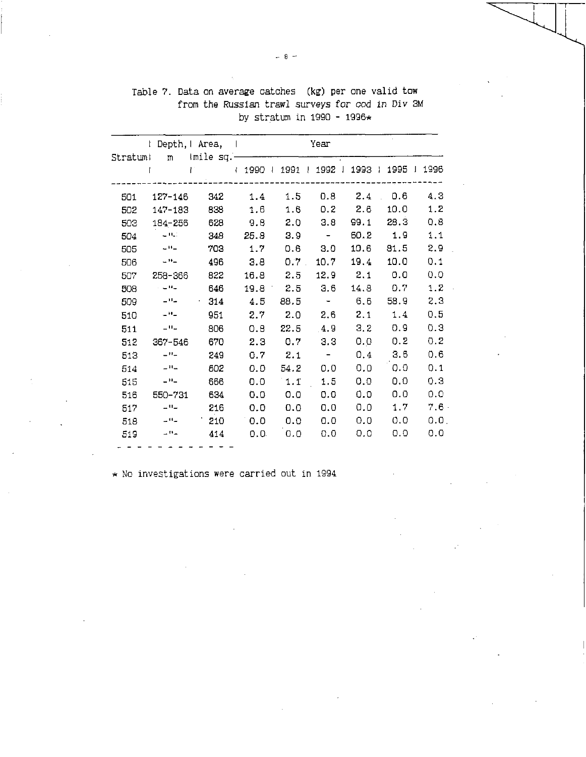|          |                            | l Depth,   Area,                    |             |         | Year                        |              |             |         |
|----------|----------------------------|-------------------------------------|-------------|---------|-----------------------------|--------------|-------------|---------|
| Stratumi |                            | m Imile sq.-                        |             |         |                             |              |             |         |
|          |                            | 4 1990 1 1991 1 1992 1 1993 1<br>T. |             |         |                             |              | 1995   1996 |         |
|          |                            |                                     |             |         |                             |              |             |         |
| 501      | 127-146                    | 342                                 | 1.4         | 1.5     | 0.8                         | 2.4          | 0.6         | 4.3     |
| 502      | 147-183                    | 838                                 | 1.6         | 1.6     |                             | $0.2$ 2.6    | 10.0        | 1.2     |
| 503      | 184-256                    | 628                                 | 9.8         | 2.0     | 3.8                         | 99.1         | 28.3        | 0.8     |
| 504      | $\sim 0.1$                 | 348                                 | 25.8        | 3.9     | $\sim$ $-$                  |              | $60.2$ 1.9  | 1.1     |
| 505      | $\sim 0.1$                 | 703                                 | 1.7         | 0.6     | 3.0                         | 10.6         | 81.5        | 2.9     |
| 506      | $-11-$                     | 496                                 | 3.8         | $0.7$ . | 10.7                        | 19.4         | 10.0        | 0.1     |
| 507      | 258-366                    | 822                                 | 16.8        | 2.5     |                             | $12.9$ $2.1$ | 0.0         | 0.0     |
| 508      | $\sim 10$ $\pm$            | 646                                 | $19.8\ 2.5$ |         | 3.6                         | 14.8         | 0.7         | 1.2     |
| 509      | ساللت ا                    | $-314$                              | 4.5         | 88.5    | $\alpha \rightarrow \alpha$ | 6.6          | 58.9        | 2.3     |
| 510      | $-11$                      | 951                                 | 2.7         | 2.0     | 2.6                         | 2.1          | 1.4         | 0.5     |
| 511      | $-$ H $-$                  | 806                                 | 0.8         | 22.5    | 4.9                         | $3.2 -$      | 0.9         | 0.3     |
| 512      | 367-546                    | 670                                 | 2.3         | 0.7     | 3.3                         | 0.0          | 0.2         | 0.2     |
| 513      | $\perp$ H $\perp$          | 249                                 | 0.7         | 2.1     | $\sim$ $ \sim$              | 0.4          | 3,6         | 0.6     |
| 514      | $\sim 0.1$                 | 502                                 | 0.0         | 54.2    | 0.0                         | 0.0          | 0.0         | 0.1     |
| 515      | $\omega$ H $\omega$        | 666                                 | 0.0         | 1.1     | 1.5                         | 0.0          | 0.0         | 0.3     |
| 516      | 550-731                    | 634                                 | 0.0         | 0.0     | 0.0                         | 0.0          | 0.0         | 0.0     |
| 517      | $\omega$ H $\omega$        | 216                                 | 0.0         | 0.0     | 0.0                         | 0.0          | 1.7         | 7.6.    |
| 518      | $\mathcal{L}^{\mathsf{H}}$ | 210                                 | 0.0         | 0.0     | 0.0                         | 0.0          | 0.0         | $0.0$ . |
| 519      | $ n-$                      | 414                                 | 0.0.        | 0.0     | 0.0                         | 0.0          | 0.0         | 0.0     |
|          |                            |                                     |             |         |                             |              |             |         |

Table 7. Data on average catches (kg) per one valid tow from the Russian trawl surveys *for* cod in Div 3M by stratum in 1990 - 1996\*

\* No investigations were carried out in 1994